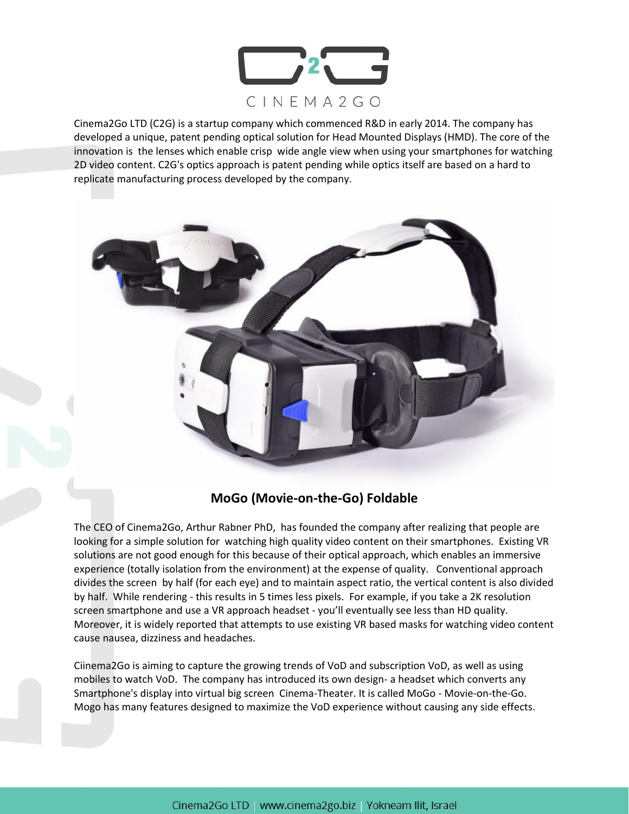

Cinema2Go LTD (C2G) is a startup company which commenced R&D in early 2014. The company has developed a unique, patent pending optical solution for Head Mounted Displays (HMD). The core of the innovation is the lenses which enable crisp wide angle view when using your smartphones for watching 2D video content. C2G's optics approach is patent pending while optics itself are based on a hard to replicate manufacturing process developed by the company.



## **MoGo (Movie-on-the-Go) Foldable**

The CEO of Cinema2Go, Arthur Rabner PhD, has founded the company after realizing that people are looking for a simple solution for watching high quality video content on their smartphones. Existing VR solutions are not good enough for this because of their optical approach, which enables an immersive experience (totally isolation from the environment) at the expense of quality. Conventional approach divides the screen by half (for each eye) and to maintain aspect ratio, the vertical content is also divided by half. While rendering - this results in 5 times less pixels. For example, if you take a 2K resolution screen smartphone and use a VR approach headset - you'll eventually see less than HD quality. Moreover, it is widely reported that attempts to use existing VR based masks for watching video content cause nausea, dizziness and headaches.

Ciinema2Go is aiming to capture the growing trends of VoD and subscription VoD, as well as using mobiles to watch VoD. The company has introduced its own design- a headset which converts any Smartphone's display into virtual big screen Cinema-Theater. It is called MoGo - Movie-on-the-Go. Mogo has many features designed to maximize the VoD experience without causing any side effects.